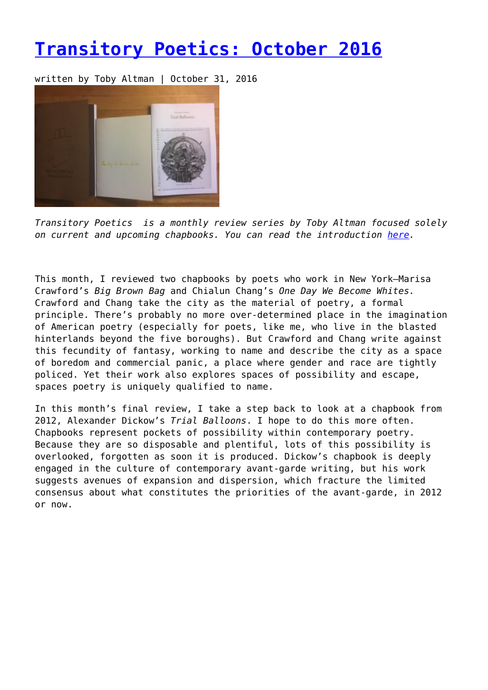## **[Transitory Poetics: October 2016](https://entropymag.org/transitory-poetics-october-2016/)**

written by Toby Altman | October 31, 2016



*Transitory Poetics is a monthly review series by Toby Altman focused solely on current and upcoming chapbooks. You can read the introduction [here](https://entropymag.org/transitory-poetics-january-2016/).*

This month, I reviewed two chapbooks by poets who work in New York—Marisa Crawford's *Big Brown Bag* and Chialun Chang's *One Day We Become Whites.* Crawford and Chang take the city as the material of poetry, a formal principle. There's probably no more over-determined place in the imagination of American poetry (especially for poets, like me, who live in the blasted hinterlands beyond the five boroughs). But Crawford and Chang write against this fecundity of fantasy, working to name and describe the city as a space of boredom and commercial panic, a place where gender and race are tightly policed. Yet their work also explores spaces of possibility and escape, spaces poetry is uniquely qualified to name.

In this month's final review, I take a step back to look at a chapbook from 2012, Alexander Dickow's *Trial Balloons*. I hope to do this more often. Chapbooks represent pockets of possibility within contemporary poetry. Because they are so disposable and plentiful, lots of this possibility is overlooked, forgotten as soon it is produced. Dickow's chapbook is deeply engaged in the culture of contemporary avant-garde writing, but his work suggests avenues of expansion and dispersion, which fracture the limited consensus about what constitutes the priorities of the avant-garde, in 2012 or now.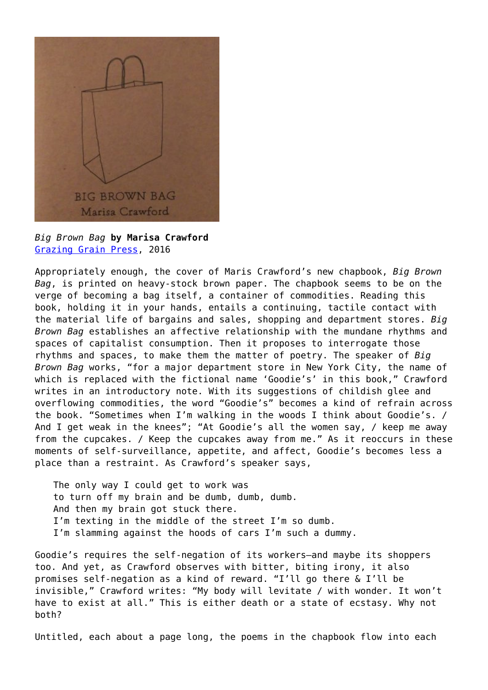

*Big Brown Bag* **by Marisa Crawford** [Grazing Grain Press](https://squareup.com/store/gazing-grain-press/), 2016

Appropriately enough, the cover of Maris Crawford's new chapbook, *Big Brown Bag*, is printed on heavy-stock brown paper. The chapbook seems to be on the verge of becoming a bag itself, a container of commodities. Reading this book, holding it in your hands, entails a continuing, tactile contact with the material life of bargains and sales, shopping and department stores. *Big Brown Bag* establishes an affective relationship with the mundane rhythms and spaces of capitalist consumption. Then it proposes to interrogate those rhythms and spaces, to make them the matter of poetry. The speaker of *Big Brown Bag* works, "for a major department store in New York City, the name of which is replaced with the fictional name 'Goodie's' in this book," Crawford writes in an introductory note. With its suggestions of childish glee and overflowing commodities, the word "Goodie's" becomes a kind of refrain across the book. "Sometimes when I'm walking in the woods I think about Goodie's. / And I get weak in the knees"; "At Goodie's all the women say, / keep me away from the cupcakes. / Keep the cupcakes away from me." As it reoccurs in these moments of self-surveillance, appetite, and affect, Goodie's becomes less a place than a restraint. As Crawford's speaker says,

The only way I could get to work was to turn off my brain and be dumb, dumb, dumb. And then my brain got stuck there. I'm texting in the middle of the street I'm so dumb. I'm slamming against the hoods of cars I'm such a dummy.

Goodie's requires the self-negation of its workers—and maybe its shoppers too. And yet, as Crawford observes with bitter, biting irony, it also promises self-negation as a kind of reward. "I'll go there & I'll be invisible," Crawford writes: "My body will levitate / with wonder. It won't have to exist at all." This is either death or a state of ecstasy. Why not both?

Untitled, each about a page long, the poems in the chapbook flow into each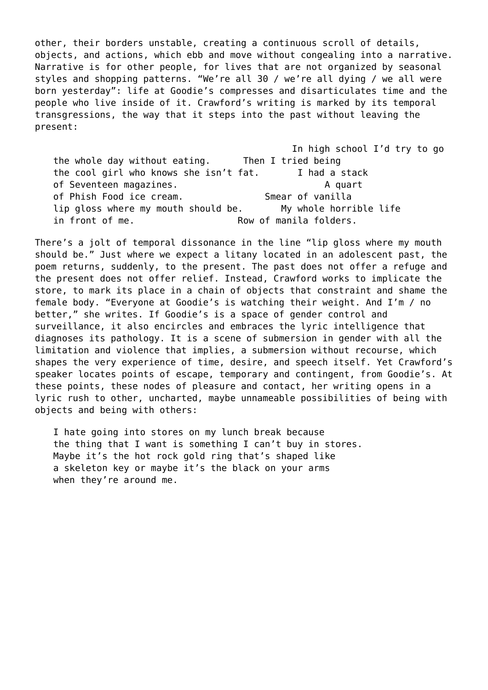other, their borders unstable, creating a continuous scroll of details, objects, and actions, which ebb and move without congealing into a narrative. Narrative is for other people, for lives that are not organized by seasonal styles and shopping patterns. "We're all 30 / we're all dying / we all were born yesterday": life at Goodie's compresses and disarticulates time and the people who live inside of it. Crawford's writing is marked by its temporal transgressions, the way that it steps into the past without leaving the present:

In high school I'd try to go the whole day without eating. Then I tried being the cool girl who knows she isn't fat. I had a stack of Seventeen magazines. A quart of Phish Food ice cream. Smear of vanilla lip gloss where my mouth should be. My whole horrible life in front of me. The same of manila folders.

There's a jolt of temporal dissonance in the line "lip gloss where my mouth should be." Just where we expect a litany located in an adolescent past, the poem returns, suddenly, to the present. The past does not offer a refuge and the present does not offer relief. Instead, Crawford works to implicate the store, to mark its place in a chain of objects that constraint and shame the female body. "Everyone at Goodie's is watching their weight. And I'm / no better," she writes. If Goodie's is a space of gender control and surveillance, it also encircles and embraces the lyric intelligence that diagnoses its pathology. It is a scene of submersion in gender with all the limitation and violence that implies, a submersion without recourse, which shapes the very experience of time, desire, and speech itself. Yet Crawford's speaker locates points of escape, temporary and contingent, from Goodie's. At these points, these nodes of pleasure and contact, her writing opens in a lyric rush to other, uncharted, maybe unnameable possibilities of being with objects and being with others:

I hate going into stores on my lunch break because the thing that I want is something I can't buy in stores. Maybe it's the hot rock gold ring that's shaped like a skeleton key or maybe it's the black on your arms when they're around me.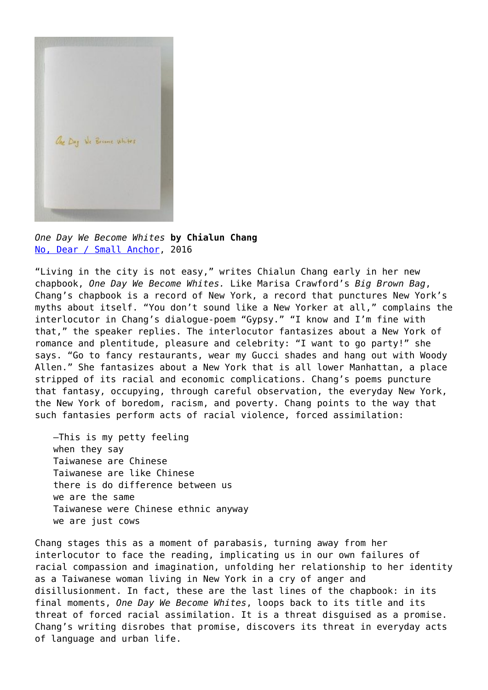

*One Day We Become Whites* **by Chialun Chang** [No, Dear / Small Anchor,](http://www.nodearmagazine.com/shop/chang-one-day-we-become-whites) 2016

"Living in the city is not easy," writes Chialun Chang early in her new chapbook, *One Day We Become Whites.* Like Marisa Crawford's *Big Brown Bag*, Chang's chapbook is a record of New York, a record that punctures New York's myths about itself. "You don't sound like a New Yorker at all," complains the interlocutor in Chang's dialogue-poem "Gypsy." "I know and I'm fine with that," the speaker replies. The interlocutor fantasizes about a New York of romance and plentitude, pleasure and celebrity: "I want to go party!" she says. "Go to fancy restaurants, wear my Gucci shades and hang out with Woody Allen." She fantasizes about a New York that is all lower Manhattan, a place stripped of its racial and economic complications. Chang's poems puncture that fantasy, occupying, through careful observation, the everyday New York, the New York of boredom, racism, and poverty. Chang points to the way that such fantasies perform acts of racial violence, forced assimilation:

—This is my petty feeling when they say Taiwanese are Chinese Taiwanese are like Chinese there is do difference between us we are the same Taiwanese were Chinese ethnic anyway we are just cows

Chang stages this as a moment of parabasis, turning away from her interlocutor to face the reading, implicating us in our own failures of racial compassion and imagination, unfolding her relationship to her identity as a Taiwanese woman living in New York in a cry of anger and disillusionment. In fact, these are the last lines of the chapbook: in its final moments, *One Day We Become Whites*, loops back to its title and its threat of forced racial assimilation. It is a threat disguised as a promise. Chang's writing disrobes that promise, discovers its threat in everyday acts of language and urban life.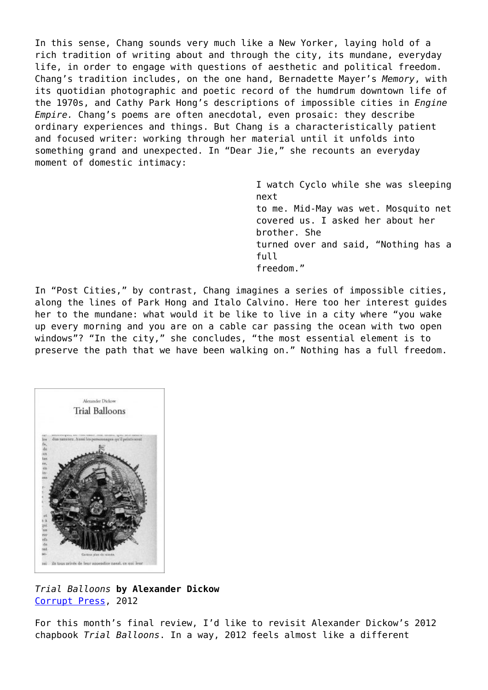In this sense, Chang sounds very much like a New Yorker, laying hold of a rich tradition of writing about and through the city, its mundane, everyday life, in order to engage with questions of aesthetic and political freedom. Chang's tradition includes, on the one hand, Bernadette Mayer's *Memory*, with its quotidian photographic and poetic record of the humdrum downtown life of the 1970s, and Cathy Park Hong's descriptions of impossible cities in *Engine Empire.* Chang's poems are often anecdotal, even prosaic: they describe ordinary experiences and things. But Chang is a characteristically patient and focused writer: working through her material until it unfolds into something grand and unexpected. In "Dear Jie," she recounts an everyday moment of domestic intimacy:

> I watch Cyclo while she was sleeping next to me. Mid-May was wet. Mosquito net covered us. I asked her about her brother. She turned over and said, "Nothing has a full freedom."

In "Post Cities," by contrast, Chang imagines a series of impossible cities, along the lines of Park Hong and Italo Calvino. Here too her interest guides her to the mundane: what would it be like to live in a city where "you wake up every morning and you are on a cable car passing the ocean with two open windows"? "In the city," she concludes, "the most essential element is to preserve the path that we have been walking on." Nothing has a full freedom.



*Trial Balloons* **by Alexander Dickow** [Corrupt Press,](http://corruptpress.net/books/trialballoons.shtml) 2012

For this month's final review, I'd like to revisit Alexander Dickow's 2012 chapbook *Trial Balloons*. In a way, 2012 feels almost like a different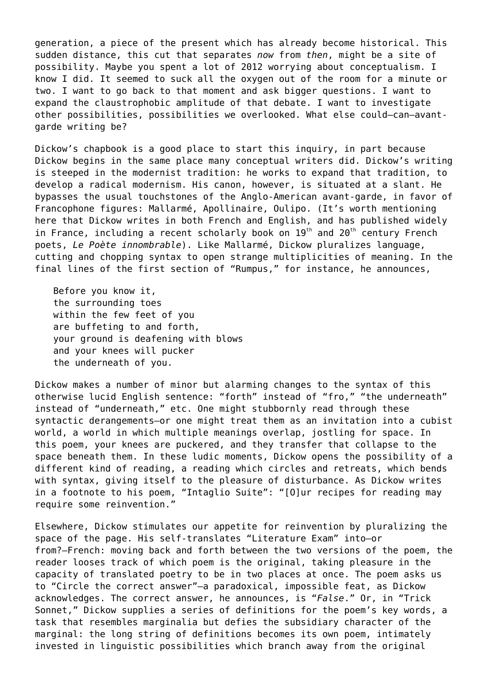generation, a piece of the present which has already become historical. This sudden distance, this cut that separates *now* from *then*, might be a site of possibility. Maybe you spent a lot of 2012 worrying about conceptualism. I know I did. It seemed to suck all the oxygen out of the room for a minute or two. I want to go back to that moment and ask bigger questions. I want to expand the claustrophobic amplitude of that debate. I want to investigate other possibilities, possibilities we overlooked. What else could—can—avantgarde writing be?

Dickow's chapbook is a good place to start this inquiry, in part because Dickow begins in the same place many conceptual writers did. Dickow's writing is steeped in the modernist tradition: he works to expand that tradition, to develop a radical modernism. His canon, however, is situated at a slant. He bypasses the usual touchstones of the Anglo-American avant-garde, in favor of Francophone figures: Mallarmé, Apollinaire, Oulipo. (It's worth mentioning here that Dickow writes in both French and English, and has published widely in France, including a recent scholarly book on  $19<sup>th</sup>$  and  $20<sup>th</sup>$  century French poets, *Le Poète innombrable*). Like Mallarmé, Dickow pluralizes language, cutting and chopping syntax to open strange multiplicities of meaning. In the final lines of the first section of "Rumpus," for instance, he announces,

Before you know it, the surrounding toes within the few feet of you are buffeting to and forth, your ground is deafening with blows and your knees will pucker the underneath of you.

Dickow makes a number of minor but alarming changes to the syntax of this otherwise lucid English sentence: "forth" instead of "fro," "the underneath" instead of "underneath," etc. One might stubbornly read through these syntactic derangements—or one might treat them as an invitation into a cubist world, a world in which multiple meanings overlap, jostling for space. In this poem, your knees are puckered, and they transfer that collapse to the space beneath them. In these ludic moments, Dickow opens the possibility of a different kind of reading, a reading which circles and retreats, which bends with syntax, giving itself to the pleasure of disturbance. As Dickow writes in a footnote to his poem, "Intaglio Suite": "[O]ur recipes for reading may require some reinvention."

Elsewhere, Dickow stimulates our appetite for reinvention by pluralizing the space of the page. His self-translates "Literature Exam" into—or from?—French: moving back and forth between the two versions of the poem, the reader looses track of which poem is the original, taking pleasure in the capacity of translated poetry to be in two places at once. The poem asks us to "Circle the correct answer"—a paradoxical, impossible feat, as Dickow acknowledges. The correct answer, he announces, is "*False*." Or, in "Trick Sonnet," Dickow supplies a series of definitions for the poem's key words, a task that resembles marginalia but defies the subsidiary character of the marginal: the long string of definitions becomes its own poem, intimately invested in linguistic possibilities which branch away from the original